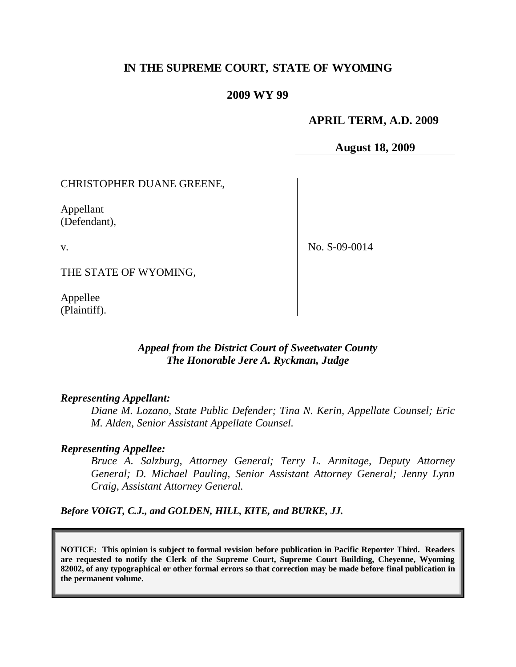# **IN THE SUPREME COURT, STATE OF WYOMING**

### **2009 WY 99**

#### **APRIL TERM, A.D. 2009**

**August 18, 2009**

CHRISTOPHER DUANE GREENE,

Appellant (Defendant),

v.

No. S-09-0014

THE STATE OF WYOMING,

Appellee (Plaintiff).

# *Appeal from the District Court of Sweetwater County The Honorable Jere A. Ryckman, Judge*

#### *Representing Appellant:*

*Diane M. Lozano, State Public Defender; Tina N. Kerin, Appellate Counsel; Eric M. Alden, Senior Assistant Appellate Counsel.*

#### *Representing Appellee:*

*Bruce A. Salzburg, Attorney General; Terry L. Armitage, Deputy Attorney General; D. Michael Pauling, Senior Assistant Attorney General; Jenny Lynn Craig, Assistant Attorney General.*

*Before VOIGT, C.J., and GOLDEN, HILL, KITE, and BURKE, JJ.*

**NOTICE: This opinion is subject to formal revision before publication in Pacific Reporter Third. Readers are requested to notify the Clerk of the Supreme Court, Supreme Court Building, Cheyenne, Wyoming 82002, of any typographical or other formal errors so that correction may be made before final publication in the permanent volume.**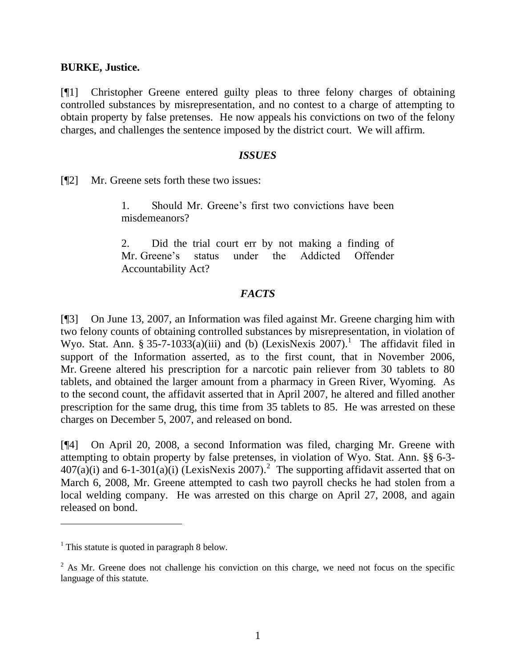#### **BURKE, Justice.**

[¶1] Christopher Greene entered guilty pleas to three felony charges of obtaining controlled substances by misrepresentation, and no contest to a charge of attempting to obtain property by false pretenses. He now appeals his convictions on two of the felony charges, and challenges the sentence imposed by the district court. We will affirm.

#### *ISSUES*

[¶2] Mr. Greene sets forth these two issues:

1. Should Mr. Greene"s first two convictions have been misdemeanors?

2. Did the trial court err by not making a finding of Mr. Greene"s status under the Addicted Offender Accountability Act?

## *FACTS*

[¶3] On June 13, 2007, an Information was filed against Mr. Greene charging him with two felony counts of obtaining controlled substances by misrepresentation, in violation of Wyo. Stat. Ann. § 35-7-1033(a)(iii) and (b) (LexisNexis  $2007$ ).<sup>1</sup> The affidavit filed in support of the Information asserted, as to the first count, that in November 2006, Mr. Greene altered his prescription for a narcotic pain reliever from 30 tablets to 80 tablets, and obtained the larger amount from a pharmacy in Green River, Wyoming. As to the second count, the affidavit asserted that in April 2007, he altered and filled another prescription for the same drug, this time from 35 tablets to 85. He was arrested on these charges on December 5, 2007, and released on bond.

[¶4] On April 20, 2008, a second Information was filed, charging Mr. Greene with attempting to obtain property by false pretenses, in violation of Wyo. Stat. Ann. §§ 6-3-  $407(a)(i)$  and 6-1-301(a)(i) (LexisNexis 2007).<sup>2</sup> The supporting affidavit asserted that on March 6, 2008, Mr. Greene attempted to cash two payroll checks he had stolen from a local welding company. He was arrested on this charge on April 27, 2008, and again released on bond.

 $\overline{a}$ 

<sup>&</sup>lt;sup>1</sup> This statute is quoted in paragraph 8 below.

<sup>&</sup>lt;sup>2</sup> As Mr. Greene does not challenge his conviction on this charge, we need not focus on the specific language of this statute.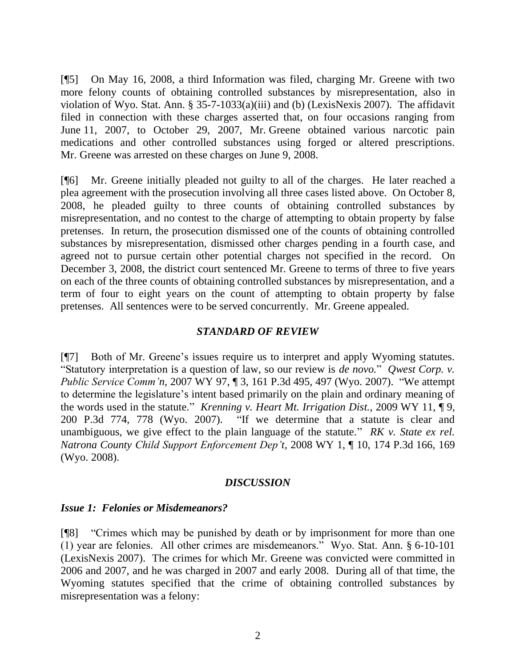[¶5] On May 16, 2008, a third Information was filed, charging Mr. Greene with two more felony counts of obtaining controlled substances by misrepresentation, also in violation of Wyo. Stat. Ann. § 35-7-1033(a)(iii) and (b) (LexisNexis 2007). The affidavit filed in connection with these charges asserted that, on four occasions ranging from June 11, 2007, to October 29, 2007, Mr. Greene obtained various narcotic pain medications and other controlled substances using forged or altered prescriptions. Mr. Greene was arrested on these charges on June 9, 2008.

[¶6] Mr. Greene initially pleaded not guilty to all of the charges. He later reached a plea agreement with the prosecution involving all three cases listed above. On October 8, 2008, he pleaded guilty to three counts of obtaining controlled substances by misrepresentation, and no contest to the charge of attempting to obtain property by false pretenses. In return, the prosecution dismissed one of the counts of obtaining controlled substances by misrepresentation, dismissed other charges pending in a fourth case, and agreed not to pursue certain other potential charges not specified in the record. On December 3, 2008, the district court sentenced Mr. Greene to terms of three to five years on each of the three counts of obtaining controlled substances by misrepresentation, and a term of four to eight years on the count of attempting to obtain property by false pretenses. All sentences were to be served concurrently. Mr. Greene appealed.

## *STANDARD OF REVIEW*

[¶7] Both of Mr. Greene's issues require us to interpret and apply Wyoming statutes. "Statutory interpretation is a question of law, so our review is *de novo.*" *Qwest Corp. v. Public Service Comm'n*, 2007 WY 97, ¶ 3, 161 P.3d 495, 497 (Wyo. 2007). "We attempt to determine the legislature's intent based primarily on the plain and ordinary meaning of the words used in the statute." *Krenning v. Heart Mt. Irrigation Dist.*, 2009 WY 11, ¶ 9, 200 P.3d 774, 778 (Wyo. 2007). "If we determine that a statute is clear and unambiguous, we give effect to the plain language of the statute." *RK v. State ex rel. Natrona County Child Support Enforcement Dep't*, 2008 WY 1, ¶ 10, 174 P.3d 166, 169 (Wyo. 2008).

## *DISCUSSION*

## *Issue 1: Felonies or Misdemeanors?*

[¶8] "Crimes which may be punished by death or by imprisonment for more than one (1) year are felonies. All other crimes are misdemeanors." Wyo. Stat. Ann. § 6-10-101 (LexisNexis 2007). The crimes for which Mr. Greene was convicted were committed in 2006 and 2007, and he was charged in 2007 and early 2008. During all of that time, the Wyoming statutes specified that the crime of obtaining controlled substances by misrepresentation was a felony: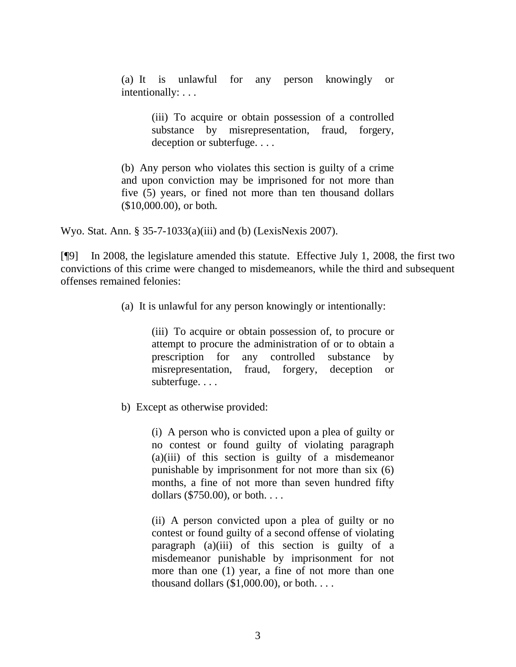(a) It is unlawful for any person knowingly or intentionally: . . .

> (iii) To acquire or obtain possession of a controlled substance by misrepresentation, fraud, forgery, deception or subterfuge. . . .

(b) Any person who violates this section is guilty of a crime and upon conviction may be imprisoned for not more than five (5) years, or fined not more than ten thousand dollars (\$10,000.00), or both.

Wyo. Stat. Ann. § 35-7-1033(a)(iii) and (b) (LexisNexis 2007).

[¶9] In 2008, the legislature amended this statute. Effective July 1, 2008, the first two convictions of this crime were changed to misdemeanors, while the third and subsequent offenses remained felonies:

(a) It is unlawful for any person knowingly or intentionally:

(iii) To acquire or obtain possession of, to procure or attempt to procure the administration of or to obtain a prescription for any controlled substance by misrepresentation, fraud, forgery, deception or subterfuge. . . .

b) Except as otherwise provided:

(i) A person who is convicted upon a plea of guilty or no contest or found guilty of violating paragraph (a)(iii) of this section is guilty of a misdemeanor punishable by imprisonment for not more than six (6) months, a fine of not more than seven hundred fifty dollars (\$750.00), or both. . . .

(ii) A person convicted upon a plea of guilty or no contest or found guilty of a second offense of violating paragraph (a)(iii) of this section is guilty of a misdemeanor punishable by imprisonment for not more than one (1) year, a fine of not more than one thousand dollars  $(\$1,000.00)$ , or both. . . .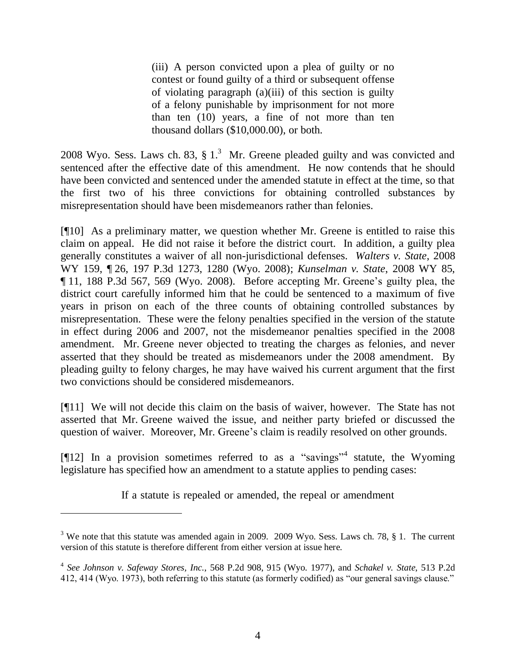(iii) A person convicted upon a plea of guilty or no contest or found guilty of a third or subsequent offense of violating paragraph (a)(iii) of this section is guilty of a felony punishable by imprisonment for not more than ten (10) years, a fine of not more than ten thousand dollars (\$10,000.00), or both.

2008 Wyo. Sess. Laws ch. 83,  $\S 1$ .<sup>3</sup> Mr. Greene pleaded guilty and was convicted and sentenced after the effective date of this amendment. He now contends that he should have been convicted and sentenced under the amended statute in effect at the time, so that the first two of his three convictions for obtaining controlled substances by misrepresentation should have been misdemeanors rather than felonies.

[¶10] As a preliminary matter, we question whether Mr. Greene is entitled to raise this claim on appeal. He did not raise it before the district court. In addition, a guilty plea generally constitutes a waiver of all non-jurisdictional defenses. *Walters v. State*, 2008 WY 159, ¶ 26, 197 P.3d 1273, 1280 (Wyo. 2008); *Kunselman v. State*, 2008 WY 85, ¶ 11, 188 P.3d 567, 569 (Wyo. 2008). Before accepting Mr. Greene"s guilty plea, the district court carefully informed him that he could be sentenced to a maximum of five years in prison on each of the three counts of obtaining controlled substances by misrepresentation. These were the felony penalties specified in the version of the statute in effect during 2006 and 2007, not the misdemeanor penalties specified in the 2008 amendment. Mr. Greene never objected to treating the charges as felonies, and never asserted that they should be treated as misdemeanors under the 2008 amendment. By pleading guilty to felony charges, he may have waived his current argument that the first two convictions should be considered misdemeanors.

[¶11] We will not decide this claim on the basis of waiver, however. The State has not asserted that Mr. Greene waived the issue, and neither party briefed or discussed the question of waiver. Moreover, Mr. Greene"s claim is readily resolved on other grounds.

[ $[12]$  In a provision sometimes referred to as a "savings"<sup>4</sup> statute, the Wyoming legislature has specified how an amendment to a statute applies to pending cases:

If a statute is repealed or amended, the repeal or amendment

 $\overline{a}$ 

<sup>&</sup>lt;sup>3</sup> We note that this statute was amended again in 2009. 2009 Wyo. Sess. Laws ch. 78, § 1. The current version of this statute is therefore different from either version at issue here.

<sup>4</sup> *See Johnson v. Safeway Stores, Inc.*, 568 P.2d 908, 915 (Wyo. 1977), and *Schakel v. State*, 513 P.2d 412, 414 (Wyo. 1973), both referring to this statute (as formerly codified) as "our general savings clause."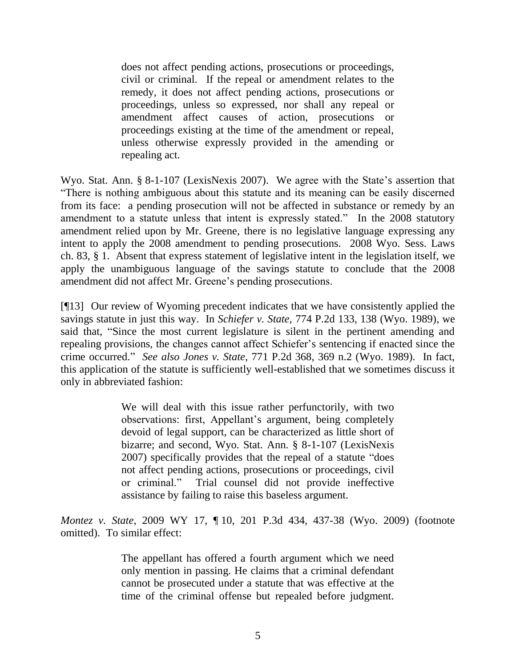does not affect pending actions, prosecutions or proceedings, civil or criminal. If the repeal or amendment relates to the remedy, it does not affect pending actions, prosecutions or proceedings, unless so expressed, nor shall any repeal or amendment affect causes of action, prosecutions or proceedings existing at the time of the amendment or repeal, unless otherwise expressly provided in the amending or repealing act.

Wyo. Stat. Ann. § 8-1-107 (LexisNexis 2007). We agree with the State's assertion that "There is nothing ambiguous about this statute and its meaning can be easily discerned from its face: a pending prosecution will not be affected in substance or remedy by an amendment to a statute unless that intent is expressly stated." In the 2008 statutory amendment relied upon by Mr. Greene, there is no legislative language expressing any intent to apply the 2008 amendment to pending prosecutions. 2008 Wyo. Sess. Laws ch. 83, § 1. Absent that express statement of legislative intent in the legislation itself, we apply the unambiguous language of the savings statute to conclude that the 2008 amendment did not affect Mr. Greene's pending prosecutions.

[¶13] Our review of Wyoming precedent indicates that we have consistently applied the savings statute in just this way. In *Schiefer v. State*, 774 P.2d 133, 138 (Wyo. 1989), we said that, "Since the most current legislature is silent in the pertinent amending and repealing provisions, the changes cannot affect Schiefer"s sentencing if enacted since the crime occurred." *See also Jones v. State*, 771 P.2d 368, 369 n.2 (Wyo. 1989). In fact, this application of the statute is sufficiently well-established that we sometimes discuss it only in abbreviated fashion:

> We will deal with this issue rather perfunctorily, with two observations: first, Appellant"s argument, being completely devoid of legal support, can be characterized as little short of bizarre; and second, Wyo. Stat. Ann. § 8-1-107 (LexisNexis 2007) specifically provides that the repeal of a statute "does not affect pending actions, prosecutions or proceedings, civil or criminal." Trial counsel did not provide ineffective assistance by failing to raise this baseless argument.

*Montez v. State*, 2009 WY 17, ¶ 10, 201 P.3d 434, 437-38 (Wyo. 2009) (footnote omitted). To similar effect:

> The appellant has offered a fourth argument which we need only mention in passing. He claims that a criminal defendant cannot be prosecuted under a statute that was effective at the time of the criminal offense but repealed before judgment.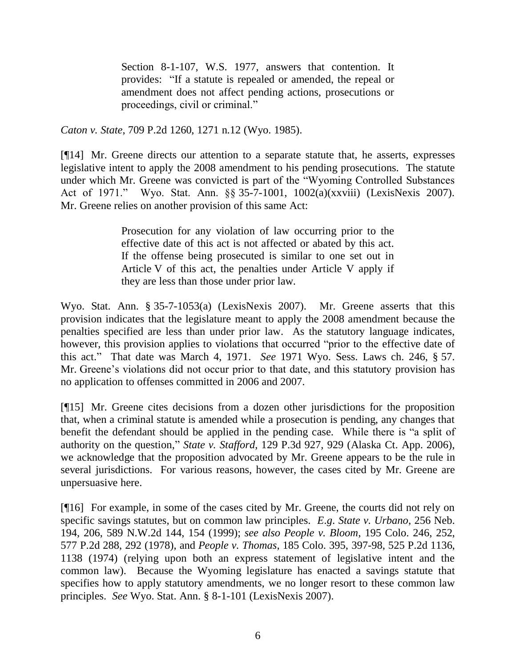Section 8-1-107, W.S. 1977, answers that contention. It provides: "If a statute is repealed or amended, the repeal or amendment does not affect pending actions, prosecutions or proceedings, civil or criminal."

*Caton v. State*, 709 P.2d 1260, 1271 n.12 (Wyo. 1985).

[¶14] Mr. Greene directs our attention to a separate statute that, he asserts, expresses legislative intent to apply the 2008 amendment to his pending prosecutions. The statute under which Mr. Greene was convicted is part of the "Wyoming Controlled Substances Act of 1971." Wyo. Stat. Ann. §§ 35-7-1001, 1002(a)(xxviii) (LexisNexis 2007). Mr. Greene relies on another provision of this same Act:

> Prosecution for any violation of law occurring prior to the effective date of this act is not affected or abated by this act. If the offense being prosecuted is similar to one set out in Article V of this act, the penalties under Article V apply if they are less than those under prior law.

Wyo. Stat. Ann. § 35-7-1053(a) (LexisNexis 2007). Mr. Greene asserts that this provision indicates that the legislature meant to apply the 2008 amendment because the penalties specified are less than under prior law. As the statutory language indicates, however, this provision applies to violations that occurred "prior to the effective date of this act." That date was March 4, 1971. *See* 1971 Wyo. Sess. Laws ch. 246, § 57. Mr. Greene's violations did not occur prior to that date, and this statutory provision has no application to offenses committed in 2006 and 2007.

[¶15] Mr. Greene cites decisions from a dozen other jurisdictions for the proposition that, when a criminal statute is amended while a prosecution is pending, any changes that benefit the defendant should be applied in the pending case. While there is "a split of authority on the question," *State v. Stafford*, 129 P.3d 927, 929 (Alaska Ct. App. 2006), we acknowledge that the proposition advocated by Mr. Greene appears to be the rule in several jurisdictions. For various reasons, however, the cases cited by Mr. Greene are unpersuasive here.

[¶16] For example, in some of the cases cited by Mr. Greene, the courts did not rely on specific savings statutes, but on common law principles. *E*.*g*. *State v. Urbano*, 256 Neb. 194, 206, 589 N.W.2d 144, 154 (1999); *see also People v. Bloom*, 195 Colo. 246, 252, 577 P.2d 288, 292 (1978), and *People v. Thomas*, 185 Colo. 395, 397-98, 525 P.2d 1136, 1138 (1974) (relying upon both an express statement of legislative intent and the common law). Because the Wyoming legislature has enacted a savings statute that specifies how to apply statutory amendments, we no longer resort to these common law principles. *See* Wyo. Stat. Ann. § 8-1-101 (LexisNexis 2007).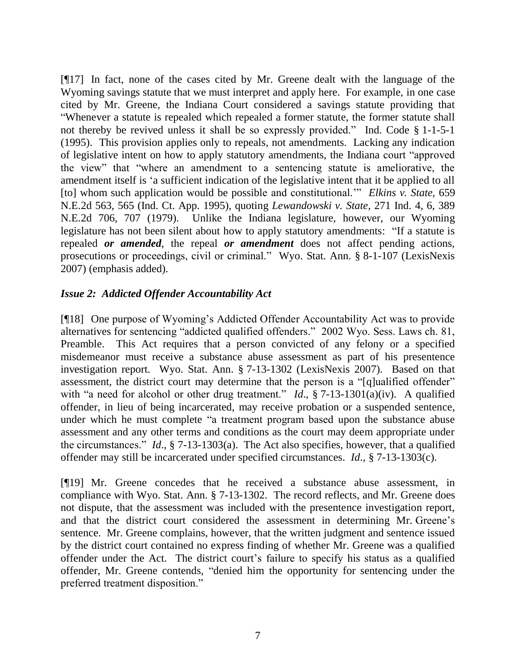[¶17] In fact, none of the cases cited by Mr. Greene dealt with the language of the Wyoming savings statute that we must interpret and apply here. For example, in one case cited by Mr. Greene, the Indiana Court considered a savings statute providing that "Whenever a statute is repealed which repealed a former statute, the former statute shall not thereby be revived unless it shall be so expressly provided." Ind. Code § 1-1-5-1 (1995). This provision applies only to repeals, not amendments. Lacking any indication of legislative intent on how to apply statutory amendments, the Indiana court "approved the view" that "where an amendment to a sentencing statute is ameliorative, the amendment itself is "a sufficient indication of the legislative intent that it be applied to all [to] whom such application would be possible and constitutional."" *Elkins v. State*, 659 N.E.2d 563, 565 (Ind. Ct. App. 1995), quoting *Lewandowski v. State*, 271 Ind. 4, 6, 389 N.E.2d 706, 707 (1979). Unlike the Indiana legislature, however, our Wyoming legislature has not been silent about how to apply statutory amendments: "If a statute is repealed *or amended*, the repeal *or amendment* does not affect pending actions, prosecutions or proceedings, civil or criminal." Wyo. Stat. Ann. § 8-1-107 (LexisNexis 2007) (emphasis added).

# *Issue 2: Addicted Offender Accountability Act*

[¶18] One purpose of Wyoming"s Addicted Offender Accountability Act was to provide alternatives for sentencing "addicted qualified offenders." 2002 Wyo. Sess. Laws ch. 81, Preamble. This Act requires that a person convicted of any felony or a specified misdemeanor must receive a substance abuse assessment as part of his presentence investigation report. Wyo. Stat. Ann. § 7-13-1302 (LexisNexis 2007). Based on that assessment, the district court may determine that the person is a "[q]ualified offender" with "a need for alcohol or other drug treatment." *Id.*, § 7-13-1301(a)(iv). A qualified offender, in lieu of being incarcerated, may receive probation or a suspended sentence, under which he must complete "a treatment program based upon the substance abuse assessment and any other terms and conditions as the court may deem appropriate under the circumstances." *Id*., § 7-13-1303(a). The Act also specifies, however, that a qualified offender may still be incarcerated under specified circumstances. *Id*., § 7-13-1303(c).

[¶19] Mr. Greene concedes that he received a substance abuse assessment, in compliance with Wyo. Stat. Ann. § 7-13-1302. The record reflects, and Mr. Greene does not dispute, that the assessment was included with the presentence investigation report, and that the district court considered the assessment in determining Mr. Greene"s sentence. Mr. Greene complains, however, that the written judgment and sentence issued by the district court contained no express finding of whether Mr. Greene was a qualified offender under the Act. The district court's failure to specify his status as a qualified offender, Mr. Greene contends, "denied him the opportunity for sentencing under the preferred treatment disposition."